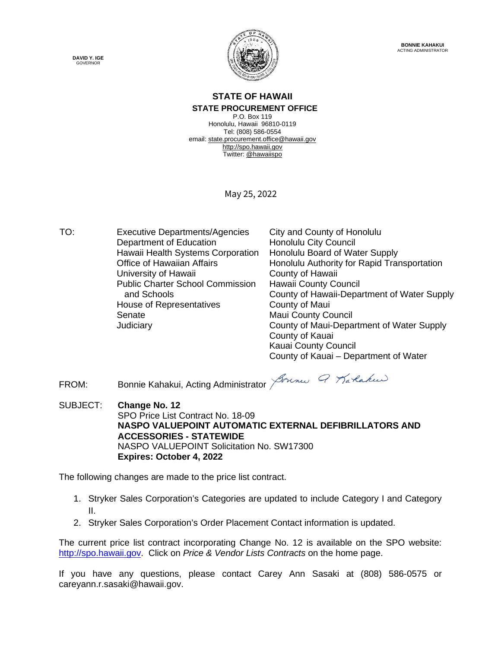**DAVID Y. IGE** GOVERNOR



**BONNIE KAHAKUI** ACTING ADMINISTRATOR

#### **STATE OF HAWAII STATE PROCUREMENT OFFICE**

P.O. Box 119 Honolulu, Hawaii 96810-0119 Tel: (808) 586-0554 email[: state.procurement.office@hawaii.gov](mailto:state.procurement.office@hawaii.gov) [http://spo.hawaii.gov](http://spo.hawaii.gov/) Twitter: [@hawaiispo](https://twitter.com/hawaiispo)

May 25, 2022

TO: Executive Departments/Agencies City and County of Honolulu Department of Education Honolulu City Council Hawaii Health Systems Corporation Honolulu Board of Water Supply Office of Hawaiian Affairs Honolulu Authority for Rapid Transportation University of Hawaii **County of Hawaii** Public Charter School Commission and Schools Hawaii County Council County of Hawaii-Department of Water Supply House of Representatives **County of Maui** Senate Maui County Council Judiciary County of Maui-Department of Water Supply County of Kauai Kauai County Council

County of Kauai – Department of Water

FROM: Bonnie Kahakui, Acting Administrator Journe G Karlakus

SUBJECT: **Change No. 12** SPO Price List Contract No. 18-09 **NASPO VALUEPOINT AUTOMATIC EXTERNAL DEFIBRILLATORS AND ACCESSORIES - STATEWIDE** NASPO VALUEPOINT Solicitation No. SW17300 **Expires: October 4, 2022**

The following changes are made to the price list contract.

- 1. Stryker Sales Corporation's Categories are updated to include Category I and Category II.
- 2. Stryker Sales Corporation's Order Placement Contact information is updated.

The current price list contract incorporating Change No. 12 is available on the SPO website: [http://spo.hawaii.gov.](http://spo.hawaii.gov/) Click on *Price & Vendor Lists Contracts* on the home page.

If you have any questions, please contact Carey Ann Sasaki at (808) 586-0575 or careyann.r.sasaki@hawaii.gov.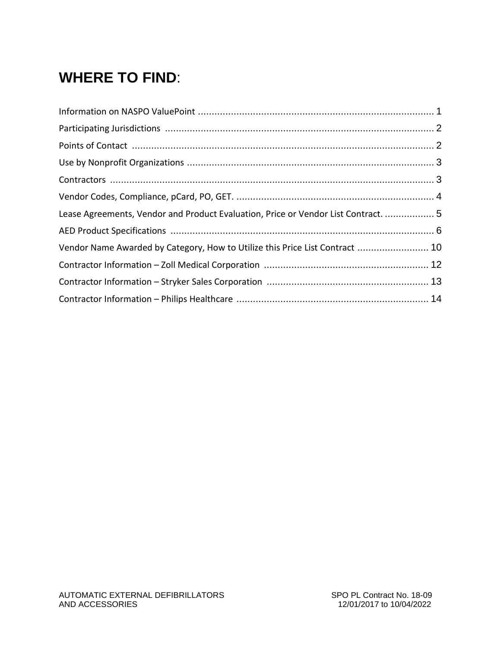### **WHERE TO FIND**:

| Lease Agreements, Vendor and Product Evaluation, Price or Vendor List Contract.  5 |  |
|------------------------------------------------------------------------------------|--|
|                                                                                    |  |
| Vendor Name Awarded by Category, How to Utilize this Price List Contract  10       |  |
|                                                                                    |  |
|                                                                                    |  |
|                                                                                    |  |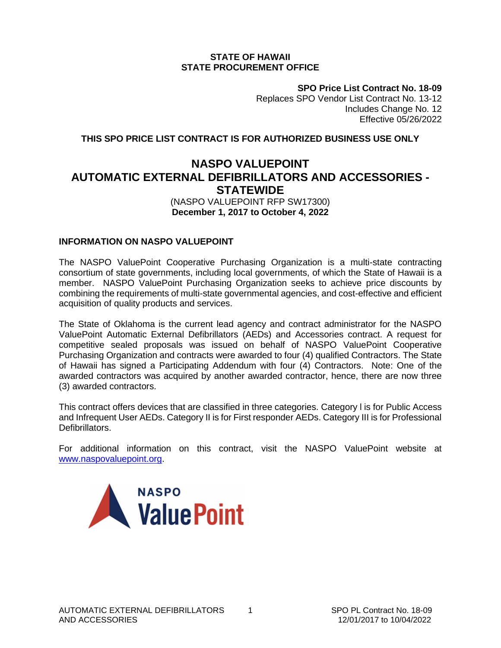#### **STATE OF HAWAII STATE PROCUREMENT OFFICE**

**SPO Price List Contract No. 18-09** Replaces SPO Vendor List Contract No. 13-12

Includes Change No. 12 Effective 05/26/2022

**THIS SPO PRICE LIST CONTRACT IS FOR AUTHORIZED BUSINESS USE ONLY**

#### **NASPO VALUEPOINT AUTOMATIC EXTERNAL DEFIBRILLATORS AND ACCESSORIES - STATEWIDE**

#### (NASPO VALUEPOINT RFP SW17300) **December 1, 2017 to October 4, 2022**

#### **INFORMATION ON NASPO VALUEPOINT**

The NASPO ValuePoint Cooperative Purchasing Organization is a multi-state contracting consortium of state governments, including local governments, of which the State of Hawaii is a member. NASPO ValuePoint Purchasing Organization seeks to achieve price discounts by combining the requirements of multi-state governmental agencies, and cost-effective and efficient acquisition of quality products and services.

The State of Oklahoma is the current lead agency and contract administrator for the NASPO ValuePoint Automatic External Defibrillators (AEDs) and Accessories contract. A request for competitive sealed proposals was issued on behalf of NASPO ValuePoint Cooperative Purchasing Organization and contracts were awarded to four (4) qualified Contractors. The State of Hawaii has signed a Participating Addendum with four (4) Contractors. Note: One of the awarded contractors was acquired by another awarded contractor, hence, there are now three (3) awarded contractors.

This contract offers devices that are classified in three categories. Category l is for Public Access and Infrequent User AEDs. Category II is for First responder AEDs. Category III is for Professional Defibrillators.

For additional information on this contract, visit the NASPO ValuePoint website at [www.naspovaluepoint.org.](http://www.naspovaluepoint.org/)

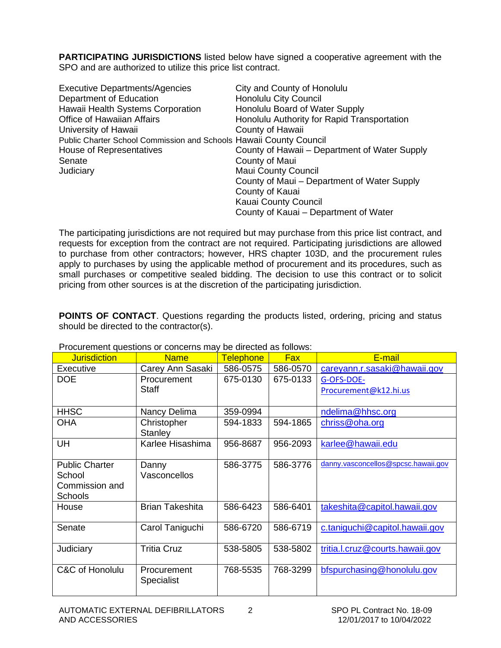**PARTICIPATING JURISDICTIONS** listed below have signed a cooperative agreement with the SPO and are authorized to utilize this price list contract.

| <b>Executive Departments/Agencies</b>                              | City and County of Honolulu                   |
|--------------------------------------------------------------------|-----------------------------------------------|
| Department of Education                                            | <b>Honolulu City Council</b>                  |
| Hawaii Health Systems Corporation                                  | Honolulu Board of Water Supply                |
| <b>Office of Hawaiian Affairs</b>                                  | Honolulu Authority for Rapid Transportation   |
| University of Hawaii                                               | County of Hawaii                              |
| Public Charter School Commission and Schools Hawaii County Council |                                               |
| House of Representatives                                           | County of Hawaii – Department of Water Supply |
| Senate                                                             | County of Maui                                |
| Judiciary                                                          | <b>Maui County Council</b>                    |
|                                                                    | County of Maui - Department of Water Supply   |
|                                                                    | County of Kauai                               |
|                                                                    | Kauai County Council                          |
|                                                                    | County of Kauai - Department of Water         |

The participating jurisdictions are not required but may purchase from this price list contract, and requests for exception from the contract are not required. Participating jurisdictions are allowed to purchase from other contractors; however, HRS chapter 103D, and the procurement rules apply to purchases by using the applicable method of procurement and its procedures, such as small purchases or competitive sealed bidding. The decision to use this contract or to solicit pricing from other sources is at the discretion of the participating jurisdiction.

**POINTS OF CONTACT**. Questions regarding the products listed, ordering, pricing and status should be directed to the contractor(s).

| <b>Jurisdiction</b>   | <b>Name</b>            | <b>Telephone</b> | <b>Fax</b> | E-mail                              |
|-----------------------|------------------------|------------------|------------|-------------------------------------|
| Executive             | Carey Ann Sasaki       | 586-0575         | 586-0570   | careyann.r.sasaki@hawaii.gov        |
| <b>DOE</b>            | Procurement            | 675-0130         | 675-0133   | G-OFS-DOE-                          |
|                       | <b>Staff</b>           |                  |            | Procurement@k12.hi.us               |
|                       |                        |                  |            |                                     |
| <b>HHSC</b>           | Nancy Delima           | 359-0994         |            | ndelima@hhsc.org                    |
| <b>OHA</b>            | Christopher            | 594-1833         | 594-1865   | chriss@oha.org                      |
|                       | <b>Stanley</b>         |                  |            |                                     |
| UH                    | Karlee Hisashima       | 956-8687         | 956-2093   | karlee@hawaii.edu                   |
|                       |                        |                  |            |                                     |
| <b>Public Charter</b> | Danny                  | 586-3775         | 586-3776   | danny.vasconcellos@spcsc.hawaii.gov |
| School                | Vasconcellos           |                  |            |                                     |
| Commission and        |                        |                  |            |                                     |
| <b>Schools</b>        |                        |                  |            |                                     |
| House                 | <b>Brian Takeshita</b> | 586-6423         | 586-6401   | takeshita@capitol.hawaii.gov        |
|                       |                        |                  |            |                                     |
| Senate                | Carol Taniguchi        | 586-6720         | 586-6719   | c.taniguchi@capitol.hawaii.gov      |
|                       |                        |                  |            |                                     |
| Judiciary             | <b>Tritia Cruz</b>     | 538-5805         | 538-5802   | tritia.l.cruz@courts.hawaii.gov     |
|                       |                        |                  |            |                                     |
| C&C of Honolulu       | Procurement            | 768-5535         | 768-3299   | bfspurchasing@honolulu.gov          |
|                       | <b>Specialist</b>      |                  |            |                                     |
|                       |                        |                  |            |                                     |

Procurement questions or concerns may be directed as follows: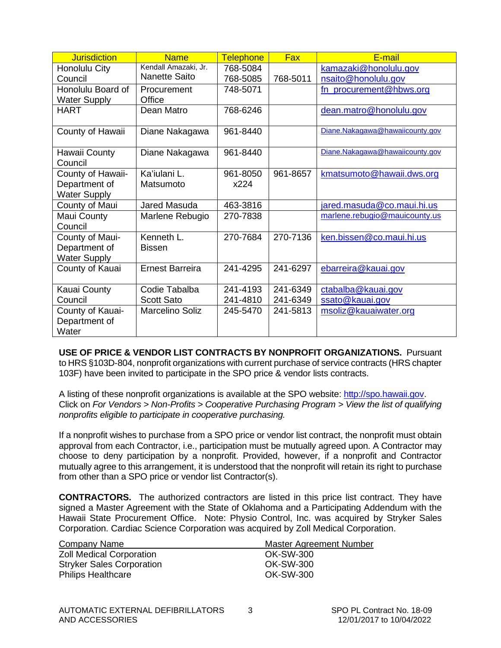| <b>Jurisdiction</b>      | <b>Name</b>            | <b>Telephone</b> | <b>Fax</b> | E-mail                          |
|--------------------------|------------------------|------------------|------------|---------------------------------|
| Honolulu City            | Kendall Amazaki, Jr.   | 768-5084         |            | kamazaki@honolulu.gov           |
| Council                  | <b>Nanette Saito</b>   | 768-5085         | 768-5011   | nsaito@honolulu.gov             |
| Honolulu Board of        | Procurement            | 748-5071         |            | fn_procurement@hbws.org         |
| <b>Water Supply</b>      | Office                 |                  |            |                                 |
| <b>HART</b>              | Dean Matro             | 768-6246         |            | dean.matro@honolulu.gov         |
| County of Hawaii         | Diane Nakagawa         | 961-8440         |            | Diane.Nakagawa@hawaiicounty.gov |
| Hawaii County<br>Council | Diane Nakagawa         | 961-8440         |            | Diane.Nakagawa@hawaiicounty.gov |
| County of Hawaii-        | Ka'iulani L.           | 961-8050         | 961-8657   | kmatsumoto@hawaii.dws.org       |
| Department of            | Matsumoto              | x224             |            |                                 |
| <b>Water Supply</b>      |                        |                  |            |                                 |
| County of Maui           | Jared Masuda           | 463-3816         |            | jared.masuda@co.maui.hi.us      |
| Maui County              | Marlene Rebugio        | 270-7838         |            | marlene.rebugio@mauicounty.us   |
| Council                  |                        |                  |            |                                 |
| County of Maui-          | Kenneth L.             | 270-7684         | 270-7136   | ken.bissen@co.maui.hi.us        |
| Department of            | <b>Bissen</b>          |                  |            |                                 |
| <b>Water Supply</b>      |                        |                  |            |                                 |
| County of Kauai          | <b>Ernest Barreira</b> | 241-4295         | 241-6297   | ebarreira@kauai.gov             |
| Kauai County             | Codie Tabalba          | 241-4193         | 241-6349   | ctabalba@kauai.gov              |
| Council                  | <b>Scott Sato</b>      | 241-4810         | 241-6349   | ssato@kauai.gov                 |
| County of Kauai-         | Marcelino Soliz        | 245-5470         | 241-5813   | msoliz@kauaiwater.org           |
| Department of            |                        |                  |            |                                 |
| Water                    |                        |                  |            |                                 |

**USE OF PRICE & VENDOR LIST CONTRACTS BY NONPROFIT ORGANIZATIONS.** Pursuant to HRS §103D-804, nonprofit organizations with current purchase of service contracts (HRS chapter 103F) have been invited to participate in the SPO price & vendor lists contracts.

A listing of these nonprofit organizations is available at the SPO website: [http://spo.hawaii.gov.](http://spo.hawaii.gov/) Click on *For Vendors > Non-Profits > Cooperative Purchasing Program > View the list of qualifying nonprofits eligible to participate in cooperative purchasing.*

If a nonprofit wishes to purchase from a SPO price or vendor list contract, the nonprofit must obtain approval from each Contractor, i.e., participation must be mutually agreed upon. A Contractor may choose to deny participation by a nonprofit. Provided, however, if a nonprofit and Contractor mutually agree to this arrangement, it is understood that the nonprofit will retain its right to purchase from other than a SPO price or vendor list Contractor(s).

**CONTRACTORS.** The authorized contractors are listed in this price list contract. They have signed a Master Agreement with the State of Oklahoma and a Participating Addendum with the Hawaii State Procurement Office. Note: Physio Control, Inc. was acquired by Stryker Sales Corporation. Cardiac Science Corporation was acquired by Zoll Medical Corporation.

| Company Name                     | <b>Master Agreement Number</b> |
|----------------------------------|--------------------------------|
| <b>Zoll Medical Corporation</b>  | OK-SW-300                      |
| <b>Stryker Sales Corporation</b> | OK-SW-300                      |
| <b>Philips Healthcare</b>        | OK-SW-300                      |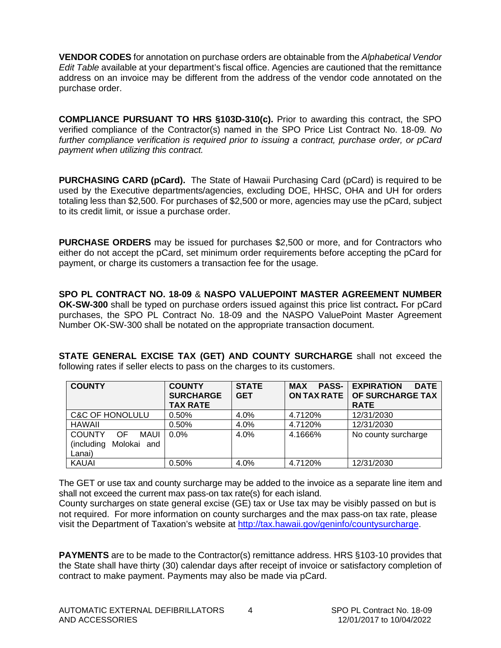**VENDOR CODES** for annotation on purchase orders are obtainable from the *Alphabetical Vendor Edit Table* available at your department's fiscal office. Agencies are cautioned that the remittance address on an invoice may be different from the address of the vendor code annotated on the purchase order.

**COMPLIANCE PURSUANT TO HRS §103D-310(c).** Prior to awarding this contract, the SPO verified compliance of the Contractor(s) named in the SPO Price List Contract No. 18-09*. No further compliance verification is required prior to issuing a contract, purchase order, or pCard payment when utilizing this contract.*

**PURCHASING CARD (pCard).** The State of Hawaii Purchasing Card (pCard) is required to be used by the Executive departments/agencies, excluding DOE, HHSC, OHA and UH for orders totaling less than \$2,500. For purchases of \$2,500 or more, agencies may use the pCard, subject to its credit limit, or issue a purchase order.

**PURCHASE ORDERS** may be issued for purchases \$2,500 or more, and for Contractors who either do not accept the pCard, set minimum order requirements before accepting the pCard for payment, or charge its customers a transaction fee for the usage.

**SPO PL CONTRACT NO. 18-09** & **NASPO VALUEPOINT MASTER AGREEMENT NUMBER OK-SW-300** shall be typed on purchase orders issued against this price list contract**.** For pCard purchases, the SPO PL Contract No. 18-09 and the NASPO ValuePoint Master Agreement Number OK-SW-300 shall be notated on the appropriate transaction document.

**STATE GENERAL EXCISE TAX (GET) AND COUNTY SURCHARGE** shall not exceed the following rates if seller elects to pass on the charges to its customers.

| <b>COUNTY</b>               | <b>COUNTY</b>    | <b>STATE</b> | <b>PASS-</b><br><b>MAX</b> | <b>DATE</b><br><b>EXPIRATION</b> |
|-----------------------------|------------------|--------------|----------------------------|----------------------------------|
|                             | <b>SURCHARGE</b> | <b>GET</b>   | <b>ON TAX RATE</b>         | OF SURCHARGE TAX                 |
|                             | <b>TAX RATE</b>  |              |                            | <b>RATE</b>                      |
| <b>C&amp;C OF HONOLULU</b>  | 0.50%            | 4.0%         | 4.7120%                    | 12/31/2030                       |
| HAWAII                      | 0.50%            | 4.0%         | 4.7120%                    | 12/31/2030                       |
| <b>COUNTY</b><br>MAUI<br>OF | $0.0\%$          | $4.0\%$      | 4.1666%                    | No county surcharge              |
| Molokai and<br>(including   |                  |              |                            |                                  |
| Lanai)                      |                  |              |                            |                                  |
| <b>KAUAI</b>                | 0.50%            | 4.0%         | 4.7120%                    | 12/31/2030                       |

The GET or use tax and county surcharge may be added to the invoice as a separate line item and shall not exceed the current max pass-on tax rate(s) for each island.

County surcharges on state general excise (GE) tax or Use tax may be visibly passed on but is not required. For more information on county surcharges and the max pass-on tax rate, please visit the Department of Taxation's website at [http://tax.hawaii.gov/geninfo/countysurcharge.](http://tax.hawaii.gov/geninfo/countysurcharge)

**PAYMENTS** are to be made to the Contractor(s) remittance address. HRS §103-10 provides that the State shall have thirty (30) calendar days after receipt of invoice or satisfactory completion of contract to make payment. Payments may also be made via pCard.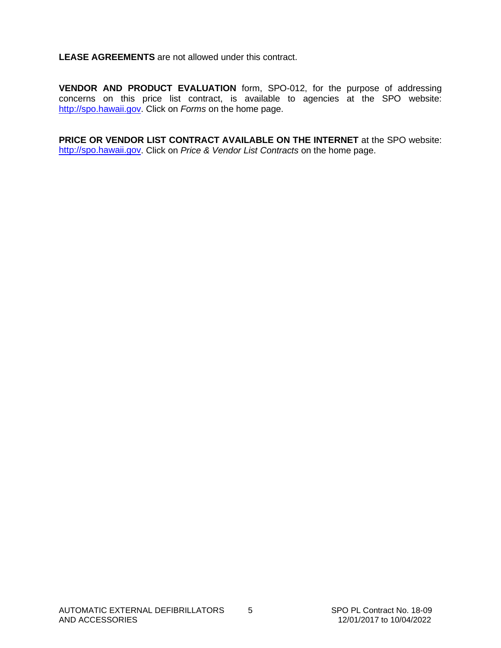**LEASE AGREEMENTS** are not allowed under this contract.

**VENDOR AND PRODUCT EVALUATION** form, SPO-012, for the purpose of addressing concerns on this price list contract, is available to agencies at the SPO website: [http://spo.hawaii.gov.](http://spo.hawaii.gov/) Click on *Forms* on the home page.

**PRICE OR VENDOR LIST CONTRACT AVAILABLE ON THE INTERNET** at the SPO website: [http://spo.hawaii.gov.](http://spo.hawaii.gov/) Click on *Price & Vendor List Contracts* on the home page.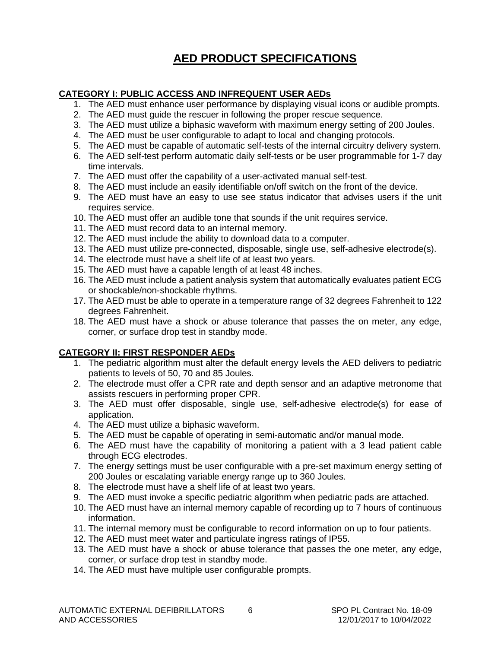#### **AED PRODUCT SPECIFICATIONS**

#### **CATEGORY I: PUBLIC ACCESS AND INFREQUENT USER AEDs**

- 1. The AED must enhance user performance by displaying visual icons or audible prompts.
- 2. The AED must guide the rescuer in following the proper rescue sequence.
- 3. The AED must utilize a biphasic waveform with maximum energy setting of 200 Joules.
- 4. The AED must be user configurable to adapt to local and changing protocols.
- 5. The AED must be capable of automatic self-tests of the internal circuitry delivery system.
- 6. The AED self-test perform automatic daily self-tests or be user programmable for 1-7 day time intervals.
- 7. The AED must offer the capability of a user-activated manual self-test.
- 8. The AED must include an easily identifiable on/off switch on the front of the device.
- 9. The AED must have an easy to use see status indicator that advises users if the unit requires service.
- 10. The AED must offer an audible tone that sounds if the unit requires service.
- 11. The AED must record data to an internal memory.
- 12. The AED must include the ability to download data to a computer.
- 13. The AED must utilize pre-connected, disposable, single use, self-adhesive electrode(s).
- 14. The electrode must have a shelf life of at least two years.
- 15. The AED must have a capable length of at least 48 inches.
- 16. The AED must include a patient analysis system that automatically evaluates patient ECG or shockable/non-shockable rhythms.
- 17. The AED must be able to operate in a temperature range of 32 degrees Fahrenheit to 122 degrees Fahrenheit.
- 18. The AED must have a shock or abuse tolerance that passes the on meter, any edge, corner, or surface drop test in standby mode.

#### **CATEGORY II: FIRST RESPONDER AEDs**

- 1. The pediatric algorithm must alter the default energy levels the AED delivers to pediatric patients to levels of 50, 70 and 85 Joules.
- 2. The electrode must offer a CPR rate and depth sensor and an adaptive metronome that assists rescuers in performing proper CPR.
- 3. The AED must offer disposable, single use, self-adhesive electrode(s) for ease of application.
- 4. The AED must utilize a biphasic waveform.
- 5. The AED must be capable of operating in semi-automatic and/or manual mode.
- 6. The AED must have the capability of monitoring a patient with a 3 lead patient cable through ECG electrodes.
- 7. The energy settings must be user configurable with a pre-set maximum energy setting of 200 Joules or escalating variable energy range up to 360 Joules.
- 8. The electrode must have a shelf life of at least two years.
- 9. The AED must invoke a specific pediatric algorithm when pediatric pads are attached.
- 10. The AED must have an internal memory capable of recording up to 7 hours of continuous information.
- 11. The internal memory must be configurable to record information on up to four patients.
- 12. The AED must meet water and particulate ingress ratings of IP55.
- 13. The AED must have a shock or abuse tolerance that passes the one meter, any edge, corner, or surface drop test in standby mode.
- 14. The AED must have multiple user configurable prompts.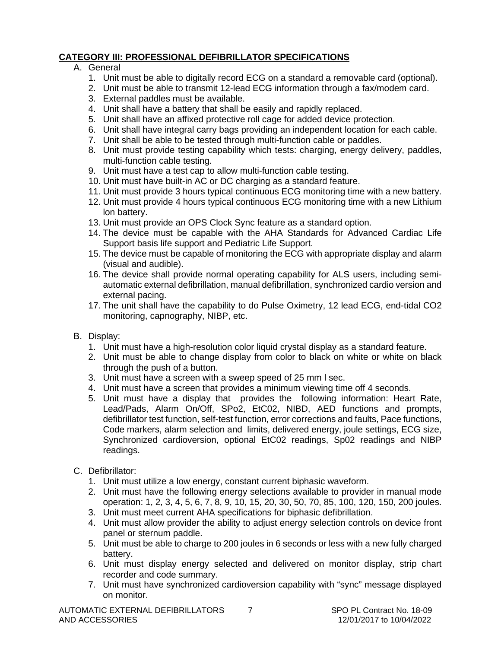#### **CATEGORY III: PROFESSIONAL DEFIBRILLATOR SPECIFICATIONS**

#### A. General

- 1. Unit must be able to digitally record ECG on a standard a removable card (optional).
- 2. Unit must be able to transmit 12-lead ECG information through a fax/modem card.
- 3. External paddles must be available.
- 4. Unit shall have a battery that shall be easily and rapidly replaced.
- 5. Unit shall have an affixed protective roll cage for added device protection.
- 6. Unit shall have integral carry bags providing an independent location for each cable.
- 7. Unit shall be able to be tested through multi-function cable or paddles.
- 8. Unit must provide testing capability which tests: charging, energy delivery, paddles, multi-function cable testing.
- 9. Unit must have a test cap to allow multi-function cable testing.
- 10. Unit must have built-in AC or DC charging as a standard feature.
- 11. Unit must provide 3 hours typical continuous ECG monitoring time with a new battery.
- 12. Unit must provide 4 hours typical continuous ECG monitoring time with a new Lithium lon battery.
- 13. Unit must provide an OPS Clock Sync feature as a standard option.
- 14. The device must be capable with the AHA Standards for Advanced Cardiac Life Support basis life support and Pediatric Life Support.
- 15. The device must be capable of monitoring the ECG with appropriate display and alarm (visual and audible).
- 16. The device shall provide normal operating capability for ALS users, including semiautomatic external defibrillation, manual defibrillation, synchronized cardio version and external pacing.
- 17. The unit shall have the capability to do Pulse Oximetry, 12 lead ECG, end-tidal CO2 monitoring, capnography, NIBP, etc.
- B. Display:
	- 1. Unit must have a high-resolution color liquid crystal display as a standard feature.
	- 2. Unit must be able to change display from color to black on white or white on black through the push of a button.
	- 3. Unit must have a screen with a sweep speed of 25 mm l sec.
	- 4. Unit must have a screen that provides a minimum viewing time off 4 seconds.
	- 5. Unit must have a display that provides the following information: Heart Rate, Lead/Pads, Alarm On/Off, SPo2, EtC02, NIBD, AED functions and prompts, defibrillator test function, self-test function, error corrections and faults, Pace functions, Code markers, alarm selection and limits, delivered energy, joule settings, ECG size, Synchronized cardioversion, optional EtC02 readings, Sp02 readings and NIBP readings.
- C. Defibrillator:
	- 1. Unit must utilize a low energy, constant current biphasic waveform.
	- 2. Unit must have the following energy selections available to provider in manual mode operation: 1, 2, 3, 4, 5, 6, 7, 8, 9, 10, 15, 20, 30, 50, 70, 85, 100, 120, 150, 200 joules.
	- 3. Unit must meet current AHA specifications for biphasic defibrillation.
	- 4. Unit must allow provider the ability to adjust energy selection controls on device front panel or sternum paddle.
	- 5. Unit must be able to charge to 200 joules in 6 seconds or less with a new fully charged battery.
	- 6. Unit must display energy selected and delivered on monitor display, strip chart recorder and code summary.
	- 7. Unit must have synchronized cardioversion capability with "sync" message displayed on monitor.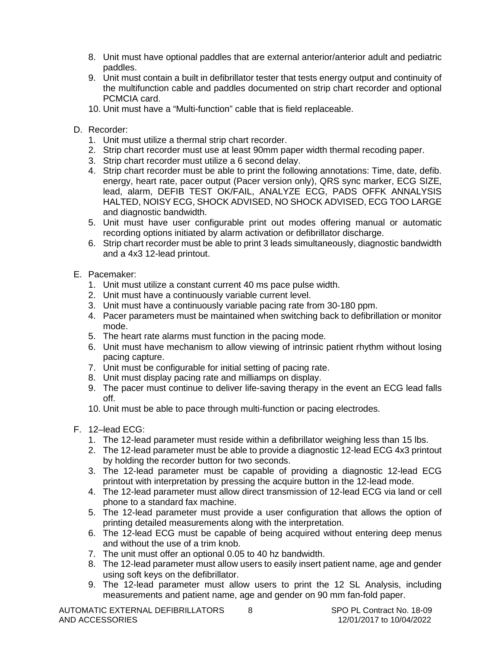- 8. Unit must have optional paddles that are external anterior/anterior adult and pediatric paddles.
- 9. Unit must contain a built in defibrillator tester that tests energy output and continuity of the multifunction cable and paddles documented on strip chart recorder and optional PCMCIA card.
- 10. Unit must have a "Multi-function" cable that is field replaceable.
- D. Recorder:
	- 1. Unit must utilize a thermal strip chart recorder.
	- 2. Strip chart recorder must use at least 90mm paper width thermal recoding paper.
	- 3. Strip chart recorder must utilize a 6 second delay.
	- 4. Strip chart recorder must be able to print the following annotations: Time, date, defib. energy, heart rate, pacer output (Pacer version only), QRS sync marker, ECG SIZE, lead, alarm, DEFIB TEST OK/FAIL, ANALYZE ECG, PADS OFFK ANNALYSIS HALTED, NOISY ECG, SHOCK ADVISED, NO SHOCK ADVISED, ECG TOO LARGE and diagnostic bandwidth.
	- 5. Unit must have user configurable print out modes offering manual or automatic recording options initiated by alarm activation or defibrillator discharge.
	- 6. Strip chart recorder must be able to print 3 leads simultaneously, diagnostic bandwidth and a 4x3 12-lead printout.
- E. Pacemaker:
	- 1. Unit must utilize a constant current 40 ms pace pulse width.
	- 2. Unit must have a continuously variable current level.
	- 3. Unit must have a continuously variable pacing rate from 30-180 ppm.
	- 4. Pacer parameters must be maintained when switching back to defibrillation or monitor mode.
	- 5. The heart rate alarms must function in the pacing mode.
	- 6. Unit must have mechanism to allow viewing of intrinsic patient rhythm without losing pacing capture.
	- 7. Unit must be configurable for initial setting of pacing rate.
	- 8. Unit must display pacing rate and milliamps on display.
	- 9. The pacer must continue to deliver life-saving therapy in the event an ECG lead falls off.
	- 10. Unit must be able to pace through multi-function or pacing electrodes.
- F. 12–lead ECG:
	- 1. The 12-lead parameter must reside within a defibrillator weighing less than 15 lbs.
	- 2. The 12-lead parameter must be able to provide a diagnostic 12-lead ECG 4x3 printout by holding the recorder button for two seconds.
	- 3. The 12-lead parameter must be capable of providing a diagnostic 12-lead ECG printout with interpretation by pressing the acquire button in the 12-lead mode.
	- 4. The 12-lead parameter must allow direct transmission of 12-lead ECG via land or cell phone to a standard fax machine.
	- 5. The 12-lead parameter must provide a user configuration that allows the option of printing detailed measurements along with the interpretation.
	- 6. The 12-lead ECG must be capable of being acquired without entering deep menus and without the use of a trim knob.
	- 7. The unit must offer an optional 0.05 to 40 hz bandwidth.
	- 8. The 12-lead parameter must allow users to easily insert patient name, age and gender using soft keys on the defibrillator.
	- 9. The 12-lead parameter must allow users to print the 12 SL Analysis, including measurements and patient name, age and gender on 90 mm fan-fold paper.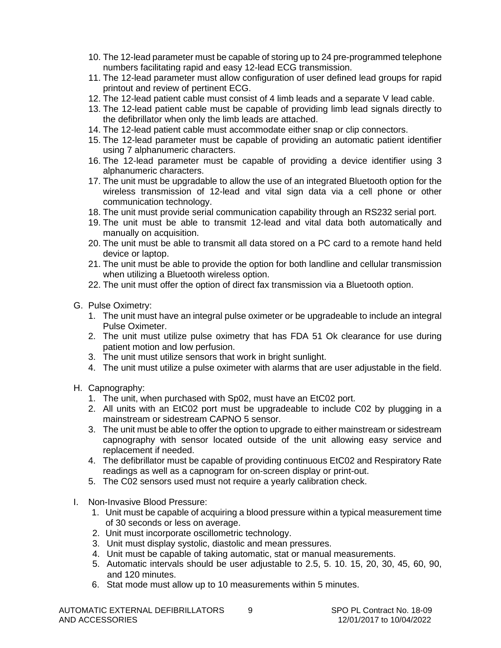- 10. The 12-lead parameter must be capable of storing up to 24 pre-programmed telephone numbers facilitating rapid and easy 12-lead ECG transmission.
- 11. The 12-lead parameter must allow configuration of user defined lead groups for rapid printout and review of pertinent ECG.
- 12. The 12-lead patient cable must consist of 4 limb leads and a separate V lead cable.
- 13. The 12-lead patient cable must be capable of providing limb lead signals directly to the defibrillator when only the limb leads are attached.
- 14. The 12-lead patient cable must accommodate either snap or clip connectors.
- 15. The 12-lead parameter must be capable of providing an automatic patient identifier using 7 alphanumeric characters.
- 16. The 12-lead parameter must be capable of providing a device identifier using 3 alphanumeric characters.
- 17. The unit must be upgradable to allow the use of an integrated Bluetooth option for the wireless transmission of 12-lead and vital sign data via a cell phone or other communication technology.
- 18. The unit must provide serial communication capability through an RS232 serial port.
- 19. The unit must be able to transmit 12-lead and vital data both automatically and manually on acquisition.
- 20. The unit must be able to transmit all data stored on a PC card to a remote hand held device or laptop.
- 21. The unit must be able to provide the option for both landline and cellular transmission when utilizing a Bluetooth wireless option.
- 22. The unit must offer the option of direct fax transmission via a Bluetooth option.
- G. Pulse Oximetry:
	- 1. The unit must have an integral pulse oximeter or be upgradeable to include an integral Pulse Oximeter.
	- 2. The unit must utilize pulse oximetry that has FDA 51 Ok clearance for use during patient motion and low perfusion.
	- 3. The unit must utilize sensors that work in bright sunlight.
	- 4. The unit must utilize a pulse oximeter with alarms that are user adjustable in the field.
- H. Capnography:
	- 1. The unit, when purchased with Sp02, must have an EtC02 port.
	- 2. All units with an EtC02 port must be upgradeable to include C02 by plugging in a mainstream or sidestream CAPNO 5 sensor.
	- 3. The unit must be able to offer the option to upgrade to either mainstream or sidestream capnography with sensor located outside of the unit allowing easy service and replacement if needed.
	- 4. The defibrillator must be capable of providing continuous EtC02 and Respiratory Rate readings as well as a capnogram for on-screen display or print-out.
	- 5. The C02 sensors used must not require a yearly calibration check.
- I. Non-Invasive Blood Pressure:
	- 1. Unit must be capable of acquiring a blood pressure within a typical measurement time of 30 seconds or less on average.
	- 2. Unit must incorporate oscillometric technology.
	- 3. Unit must display systolic, diastolic and mean pressures.
	- 4. Unit must be capable of taking automatic, stat or manual measurements.
	- 5. Automatic intervals should be user adjustable to 2.5, 5. 10. 15, 20, 30, 45, 60, 90, and 120 minutes.
	- 6. Stat mode must allow up to 10 measurements within 5 minutes.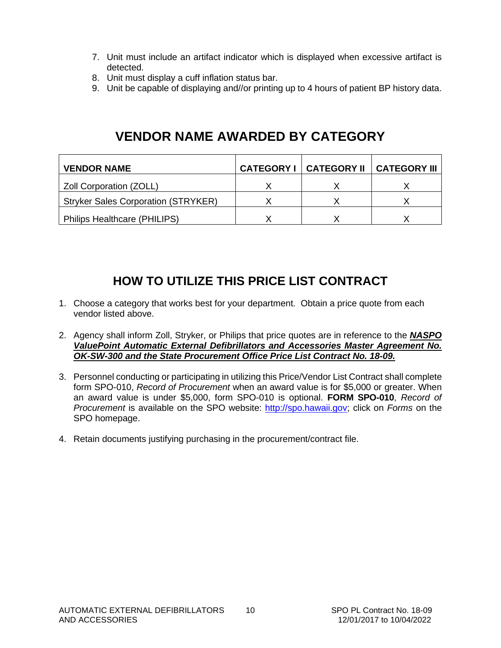- 7. Unit must include an artifact indicator which is displayed when excessive artifact is detected.
- 8. Unit must display a cuff inflation status bar.
- 9. Unit be capable of displaying and//or printing up to 4 hours of patient BP history data.

#### **VENDOR NAME AWARDED BY CATEGORY**

| <b>VENDOR NAME</b>                         | <b>CATEGORY I   CATEGORY II  </b> | <b>CATEGORY III</b> |
|--------------------------------------------|-----------------------------------|---------------------|
| Zoll Corporation (ZOLL)                    |                                   |                     |
| <b>Stryker Sales Corporation (STRYKER)</b> |                                   |                     |
| Philips Healthcare (PHILIPS)               |                                   |                     |

#### **HOW TO UTILIZE THIS PRICE LIST CONTRACT**

- 1. Choose a category that works best for your department. Obtain a price quote from each vendor listed above.
- 2. Agency shall inform Zoll, Stryker, or Philips that price quotes are in reference to the *NASPO ValuePoint Automatic External Defibrillators and Accessories Master Agreement No. OK-SW-300 and the State Procurement Office Price List Contract No. 18-09.*
- 3. Personnel conducting or participating in utilizing this Price/Vendor List Contract shall complete form SPO-010, *Record of Procurement* when an award value is for \$5,000 or greater. When an award value is under \$5,000, form SPO-010 is optional. **FORM SPO-010**, *Record of Procurement* is available on the SPO website: [http://spo.hawaii.gov;](http://spo.hawaii.gov/) click on *Forms* on the SPO homepage.
- 4. Retain documents justifying purchasing in the procurement/contract file.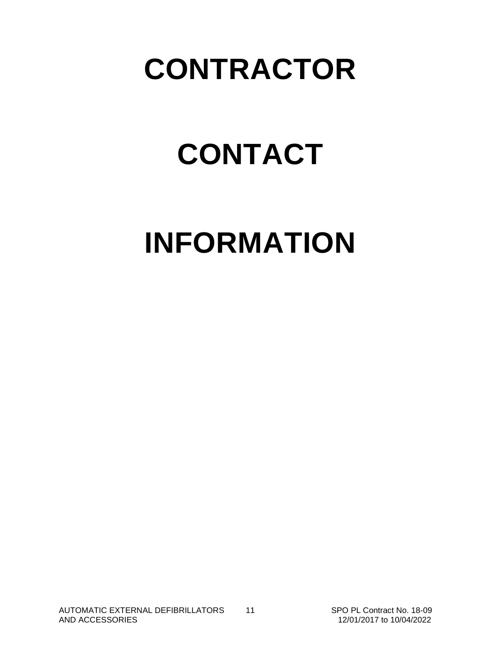### **CONTRACTOR**

# **CONTACT**

# **INFORMATION**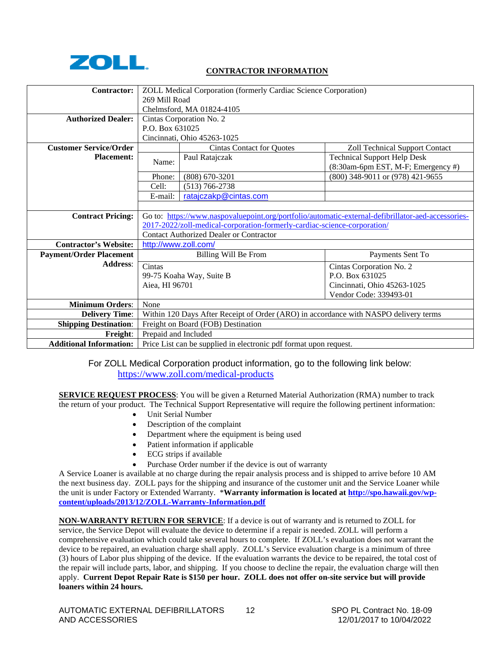

#### **CONTRACTOR INFORMATION**

| Contractor:                    | ZOLL Medical Corporation (formerly Cardiac Science Corporation)                                    |                                                                                      |                                       |  |  |
|--------------------------------|----------------------------------------------------------------------------------------------------|--------------------------------------------------------------------------------------|---------------------------------------|--|--|
|                                | 269 Mill Road                                                                                      |                                                                                      |                                       |  |  |
|                                | Chelmsford, MA 01824-4105                                                                          |                                                                                      |                                       |  |  |
| <b>Authorized Dealer:</b>      |                                                                                                    | Cintas Corporation No. 2                                                             |                                       |  |  |
|                                | P.O. Box 631025                                                                                    |                                                                                      |                                       |  |  |
|                                |                                                                                                    | Cincinnati, Ohio 45263-1025                                                          |                                       |  |  |
| <b>Customer Service/Order</b>  |                                                                                                    | <b>Cintas Contact for Quotes</b>                                                     | <b>Zoll Technical Support Contact</b> |  |  |
| <b>Placement:</b>              | Name:                                                                                              | Paul Ratajczak                                                                       | <b>Technical Support Help Desk</b>    |  |  |
|                                |                                                                                                    |                                                                                      | (8:30am-6pm EST, M-F; Emergency #)    |  |  |
|                                | Phone:                                                                                             | $(808)$ 670-3201                                                                     | (800) 348-9011 or (978) 421-9655      |  |  |
|                                | Cell:                                                                                              | $(513) 766 - 2738$                                                                   |                                       |  |  |
|                                | E-mail:                                                                                            | ratajczakp@cintas.com                                                                |                                       |  |  |
|                                |                                                                                                    |                                                                                      |                                       |  |  |
| <b>Contract Pricing:</b>       | Go to: https://www.naspovaluepoint.org/portfolio/automatic-external-defibrillator-aed-accessories- |                                                                                      |                                       |  |  |
|                                |                                                                                                    | 2017-2022/zoll-medical-corporation-formerly-cardiac-science-corporation/             |                                       |  |  |
|                                |                                                                                                    | <b>Contact Authorized Dealer or Contractor</b>                                       |                                       |  |  |
| <b>Contractor's Website:</b>   | http://www.zoll.com/                                                                               |                                                                                      |                                       |  |  |
| <b>Payment/Order Placement</b> | Billing Will Be From<br>Payments Sent To                                                           |                                                                                      |                                       |  |  |
| <b>Address:</b>                | Cintas                                                                                             | Cintas Corporation No. 2                                                             |                                       |  |  |
|                                |                                                                                                    | P.O. Box 631025<br>99-75 Koaha Way, Suite B                                          |                                       |  |  |
|                                | Aiea, HI 96701<br>Cincinnati, Ohio 45263-1025                                                      |                                                                                      |                                       |  |  |
|                                | Vendor Code: 339493-01                                                                             |                                                                                      |                                       |  |  |
| <b>Minimum Orders:</b>         | None                                                                                               |                                                                                      |                                       |  |  |
| <b>Delivery Time:</b>          |                                                                                                    | Within 120 Days After Receipt of Order (ARO) in accordance with NASPO delivery terms |                                       |  |  |
| <b>Shipping Destination:</b>   | Freight on Board (FOB) Destination                                                                 |                                                                                      |                                       |  |  |
| Freight:                       | Prepaid and Included                                                                               |                                                                                      |                                       |  |  |
| <b>Additional Information:</b> | Price List can be supplied in electronic pdf format upon request.                                  |                                                                                      |                                       |  |  |

For ZOLL Medical Corporation product information, go to the following link below: <https://www.zoll.com/medical-products>

**SERVICE REQUEST PROCESS**: You will be given a Returned Material Authorization (RMA) number to track the return of your product. The Technical Support Representative will require the following pertinent information:

- Unit Serial Number
- Description of the complaint
- Department where the equipment is being used
- Patient information if applicable
- ECG strips if available
- Purchase Order number if the device is out of warranty

A Service Loaner is available at no charge during the repair analysis process and is shipped to arrive before 10 AM the next business day. ZOLL pays for the shipping and insurance of the customer unit and the Service Loaner while the unit is under Factory or Extended Warranty. \***Warranty information is located a[t http://spo.hawaii.gov/wp](http://spo.hawaii.gov/wp-content/uploads/2013/12/ZOLL-Warranty-Information.pdf)[content/uploads/2013/12/ZOLL-Warranty-Information.pdf](http://spo.hawaii.gov/wp-content/uploads/2013/12/ZOLL-Warranty-Information.pdf)**

**NON-WARRANTY RETURN FOR SERVICE**: If a device is out of warranty and is returned to ZOLL for service, the Service Depot will evaluate the device to determine if a repair is needed. ZOLL will perform a comprehensive evaluation which could take several hours to complete. If ZOLL's evaluation does not warrant the device to be repaired, an evaluation charge shall apply. ZOLL's Service evaluation charge is a minimum of three (3) hours of Labor plus shipping of the device. If the evaluation warrants the device to be repaired, the total cost of the repair will include parts, labor, and shipping. If you choose to decline the repair, the evaluation charge will then apply. **Current Depot Repair Rate is \$150 per hour. ZOLL does not offer on-site service but will provide loaners within 24 hours.**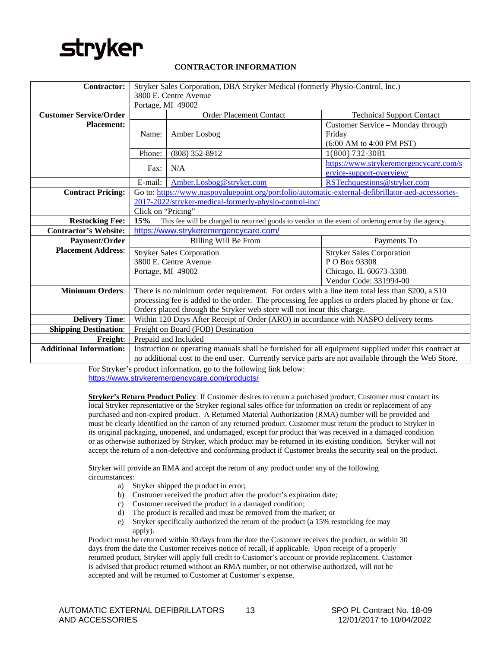### **stryker**

#### **CONTRACTOR INFORMATION**

| <b>Contractor:</b>             | Stryker Sales Corporation, DBA Stryker Medical (formerly Physio-Control, Inc.)                            |                                                                                                    |                                        |  |  |
|--------------------------------|-----------------------------------------------------------------------------------------------------------|----------------------------------------------------------------------------------------------------|----------------------------------------|--|--|
|                                |                                                                                                           | 3800 E. Centre Avenue                                                                              |                                        |  |  |
|                                | Portage, MI 49002                                                                                         |                                                                                                    |                                        |  |  |
| <b>Customer Service/Order</b>  |                                                                                                           | <b>Order Placement Contact</b>                                                                     | <b>Technical Support Contact</b>       |  |  |
| <b>Placement:</b>              |                                                                                                           |                                                                                                    | Customer Service – Monday through      |  |  |
|                                | Name:                                                                                                     | Amber Losbog                                                                                       | Friday                                 |  |  |
|                                |                                                                                                           |                                                                                                    | $(6:00$ AM to $4:00$ PM PST)           |  |  |
|                                | Phone:                                                                                                    | $(808)$ 352-8912                                                                                   | 1(800) 732-3081                        |  |  |
|                                | Fax:                                                                                                      | N/A                                                                                                | https://www.strykeremergencycare.com/s |  |  |
|                                |                                                                                                           |                                                                                                    | ervice-support-overview/               |  |  |
|                                | E-mail:                                                                                                   | Amber.Losbog@stryker.com                                                                           | RSTechquestions@stryker.com            |  |  |
| <b>Contract Pricing:</b>       |                                                                                                           | Go to: https://www.naspovaluepoint.org/portfolio/automatic-external-defibrillator-aed-accessories- |                                        |  |  |
|                                |                                                                                                           | 2017-2022/stryker-medical-formerly-physio-control-inc/                                             |                                        |  |  |
|                                | Click on "Pricing"                                                                                        |                                                                                                    |                                        |  |  |
| <b>Restocking Fee:</b>         | 15%<br>This fee will be charged to returned goods to vendor in the event of ordering error by the agency. |                                                                                                    |                                        |  |  |
| <b>Contractor's Website:</b>   | https://www.strykeremergencycare.com/                                                                     |                                                                                                    |                                        |  |  |
| Payment/Order                  | Billing Will Be From<br>Payments To                                                                       |                                                                                                    |                                        |  |  |
| <b>Placement Address:</b>      | <b>Stryker Sales Corporation</b>                                                                          |                                                                                                    | <b>Stryker Sales Corporation</b>       |  |  |
|                                | 3800 E. Centre Avenue<br>P O Box 93308                                                                    |                                                                                                    |                                        |  |  |
|                                | Portage, MI 49002                                                                                         |                                                                                                    | Chicago, IL 60673-3308                 |  |  |
|                                | Vendor Code: 331994-00                                                                                    |                                                                                                    |                                        |  |  |
| <b>Minimum Orders:</b>         | There is no minimum order requirement. For orders with a line item total less than \$200, a \$10          |                                                                                                    |                                        |  |  |
|                                | processing fee is added to the order. The processing fee applies to orders placed by phone or fax.        |                                                                                                    |                                        |  |  |
|                                | Orders placed through the Stryker web store will not incur this charge.                                   |                                                                                                    |                                        |  |  |
| <b>Delivery Time:</b>          | Within 120 Days After Receipt of Order (ARO) in accordance with NASPO delivery terms                      |                                                                                                    |                                        |  |  |
| <b>Shipping Destination:</b>   | Freight on Board (FOB) Destination                                                                        |                                                                                                    |                                        |  |  |
| Freight:                       | Prepaid and Included                                                                                      |                                                                                                    |                                        |  |  |
| <b>Additional Information:</b> | Instruction or operating manuals shall be furnished for all equipment supplied under this contract at     |                                                                                                    |                                        |  |  |
|                                | no additional cost to the end user. Currently service parts are not available through the Web Store.      |                                                                                                    |                                        |  |  |

For Stryker's product information, go to the following link below: <https://www.strykeremergencycare.com/products/>

**Stryker's Return Product Policy**: If Customer desires to return a purchased product, Customer must contact its local Stryker representative or the Stryker regional sales office for information on credit or replacement of any purchased and non-expired product. A Returned Material Authorization (RMA) number will be provided and must be clearly identified on the carton of any returned product. Customer must return the product to Stryker in its original packaging, unopened, and undamaged, except for product that was received in a damaged condition or as otherwise authorized by Stryker, which product may be returned in its existing condition. Stryker will not accept the return of a non-defective and conforming product if Customer breaks the security seal on the product.

Stryker will provide an RMA and accept the return of any product under any of the following circumstances:

- a) Stryker shipped the product in error;
- b) Customer received the product after the product's expiration date;
- c) Customer received the product in a damaged condition;
- d) The product is recalled and must be removed from the market; or
- e) Stryker specifically authorized the return of the product (a 15% restocking fee may apply).

Product must be returned within 30 days from the date the Customer receives the product, or within 30 days from the date the Customer receives notice of recall, if applicable. Upon receipt of a properly returned product, Stryker will apply full credit to Customer's account or provide replacement. Customer is advised that product returned without an RMA number, or not otherwise authorized, will not be accepted and will be returned to Customer at Customer's expense.